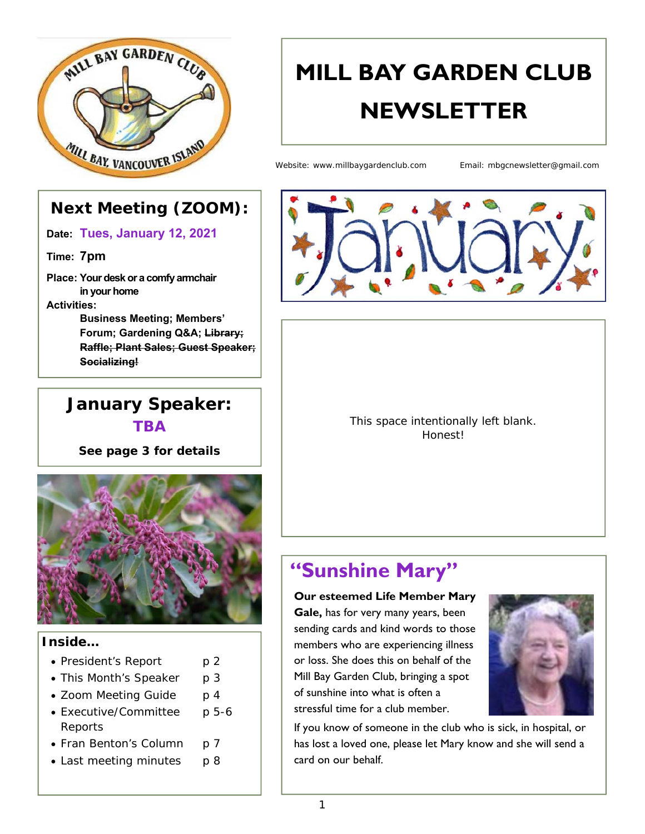

# **MILL BAY GARDEN CLUB NEWSLETTER**

Website: www.millbaygardenclub.com Email: mbgcnewsletter@gmail.com

#### **Next Meeting (ZOOM):**

**Date: Tues, January 12, 2021**

**Time: 7pm**

**Place: Your desk or a comfy armchair in your home Activities:** 

> **Business Meeting; Members' Forum; Gardening Q&A; Library; Raffle; Plant Sales; Guest Speaker; Socializing!**

#### **January Speaker: TBA**

*See page 3 for details* 



#### **Inside…**

- President's Report p 2
- This Month's Speaker p 3
- Zoom Meeting Guide p 4
- Executive/Committee p 5-6 Reports
- Fran Benton's Column p 7
- Last meeting minutes p 8



This space intentionally left blank. Honest!

# **"Sunshine Mary"**

**Our esteemed Life Member Mary** 

**Gale,** has for very many years, been sending cards and kind words to those members who are experiencing illness or loss. She does this on behalf of the Mill Bay Garden Club, bringing a spot of sunshine into what is often a stressful time for a club member.



If you know of someone in the club who is sick, in hospital, or has lost a loved one, please let Mary know and she will send a card on our behalf.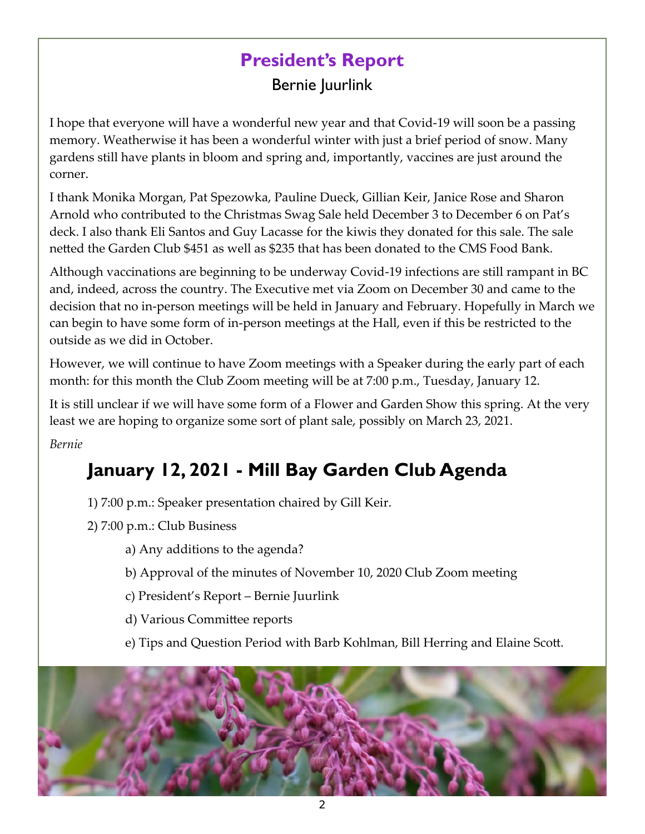# **President's Report**

Bernie Juurlink

I hope that everyone will have a wonderful new year and that Covid‐19 will soon be a passing memory. Weatherwise it has been a wonderful winter with just a brief period of snow. Many gardens still have plants in bloom and spring and, importantly, vaccines are just around the corner.

I thank Monika Morgan, Pat Spezowka, Pauline Dueck, Gillian Keir, Janice Rose and Sharon Arnold who contributed to the Christmas Swag Sale held December 3 to December 6 on Pat's deck. I also thank Eli Santos and Guy Lacasse for the kiwis they donated for this sale. The sale netted the Garden Club \$451 as well as \$235 that has been donated to the CMS Food Bank.

Although vaccinations are beginning to be underway Covid‐19 infections are still rampant in BC and, indeed, across the country. The Executive met via Zoom on December 30 and came to the decision that no in‐person meetings will be held in January and February. Hopefully in March we can begin to have some form of in‐person meetings at the Hall, even if this be restricted to the outside as we did in October.

However, we will continue to have Zoom meetings with a Speaker during the early part of each month: for this month the Club Zoom meeting will be at 7:00 p.m., Tuesday, January 12.

It is still unclear if we will have some form of a Flower and Garden Show this spring. At the very least we are hoping to organize some sort of plant sale, possibly on March 23, 2021.

*Bernie* 

# **January 12, 2021 - Mill Bay Garden Club Agenda**

1) 7:00 p.m.: Speaker presentation chaired by Gill Keir.

- 2) 7:00 p.m.: Club Business
	- a) Any additions to the agenda?
	- b) Approval of the minutes of November 10, 2020 Club Zoom meeting
	- c) President's Report Bernie Juurlink
	- d) Various Committee reports
	- e) Tips and Question Period with Barb Kohlman, Bill Herring and Elaine Scott.

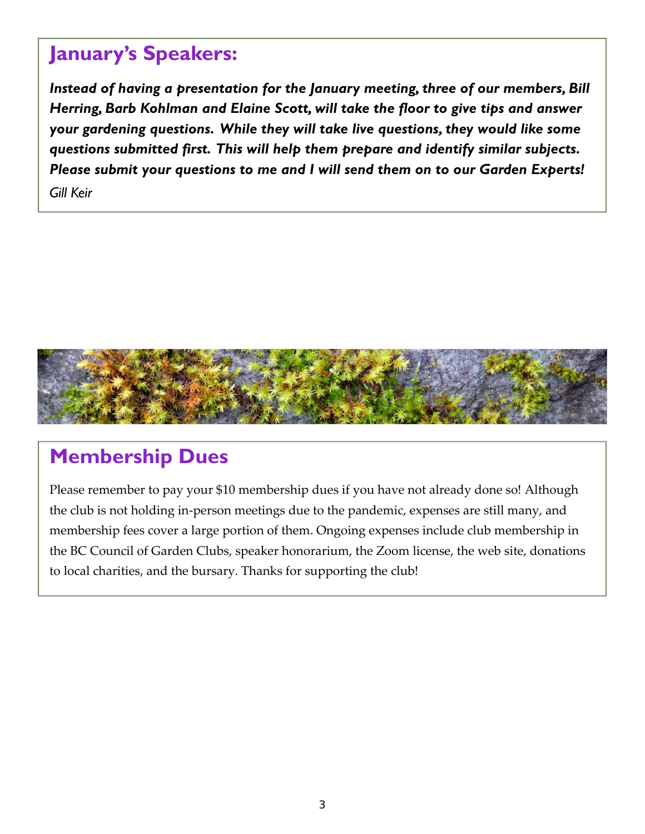## **January's Speakers:**

*Instead of having a presentation for the January meeting, three of our members, Bill Herring, Barb Kohlman and Elaine Scott, will take the floor to give tips and answer your gardening questions. While they will take live questions, they would like some questions submitted first. This will help them prepare and identify similar subjects. Please submit your questions to me and I will send them on to our Garden Experts! Gill Keir* 



## **Membership Dues**

Please remember to pay your \$10 membership dues if you have not already done so! Although the club is not holding in‐person meetings due to the pandemic, expenses are still many, and membership fees cover a large portion of them. Ongoing expenses include club membership in the BC Council of Garden Clubs, speaker honorarium, the Zoom license, the web site, donations to local charities, and the bursary. Thanks for supporting the club!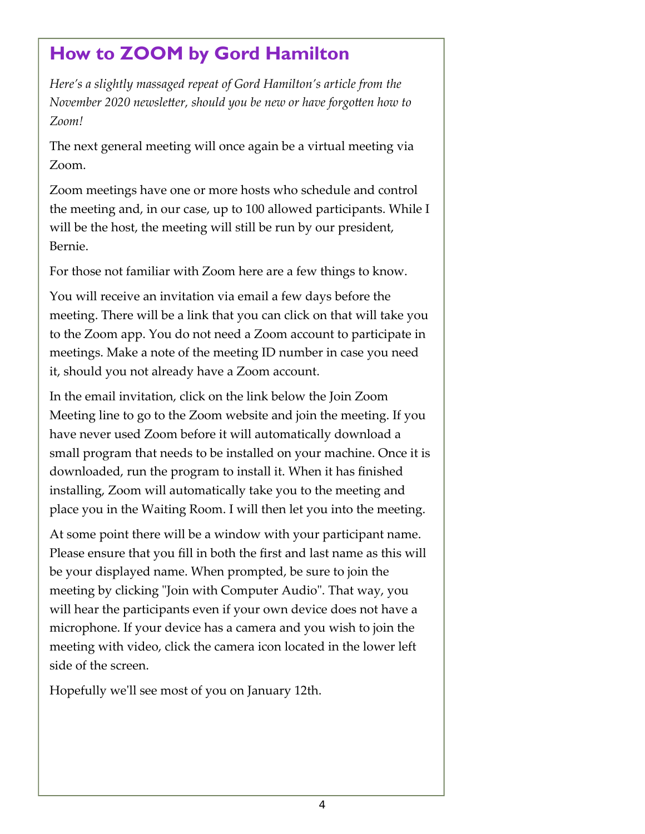## **How to ZOOM by Gord Hamilton**

*Here's a slightly massaged repeat of Gord Hamilton's article from the November 2020 newsletter, should you be new or have forgotten how to Zoom!* 

The next general meeting will once again be a virtual meeting via Zoom.

Zoom meetings have one or more hosts who schedule and control the meeting and, in our case, up to 100 allowed participants. While I will be the host, the meeting will still be run by our president, Bernie.

For those not familiar with Zoom here are a few things to know.

You will receive an invitation via email a few days before the meeting. There will be a link that you can click on that will take you to the Zoom app. You do not need a Zoom account to participate in meetings. Make a note of the meeting ID number in case you need it, should you not already have a Zoom account.

In the email invitation, click on the link below the Join Zoom Meeting line to go to the Zoom website and join the meeting. If you have never used Zoom before it will automatically download a small program that needs to be installed on your machine. Once it is downloaded, run the program to install it. When it has finished installing, Zoom will automatically take you to the meeting and place you in the Waiting Room. I will then let you into the meeting.

At some point there will be a window with your participant name. Please ensure that you fill in both the first and last name as this will be your displayed name. When prompted, be sure to join the meeting by clicking "Join with Computer Audio". That way, you will hear the participants even if your own device does not have a microphone. If your device has a camera and you wish to join the meeting with video, click the camera icon located in the lower left side of the screen.

Hopefully weʹll see most of you on January 12th.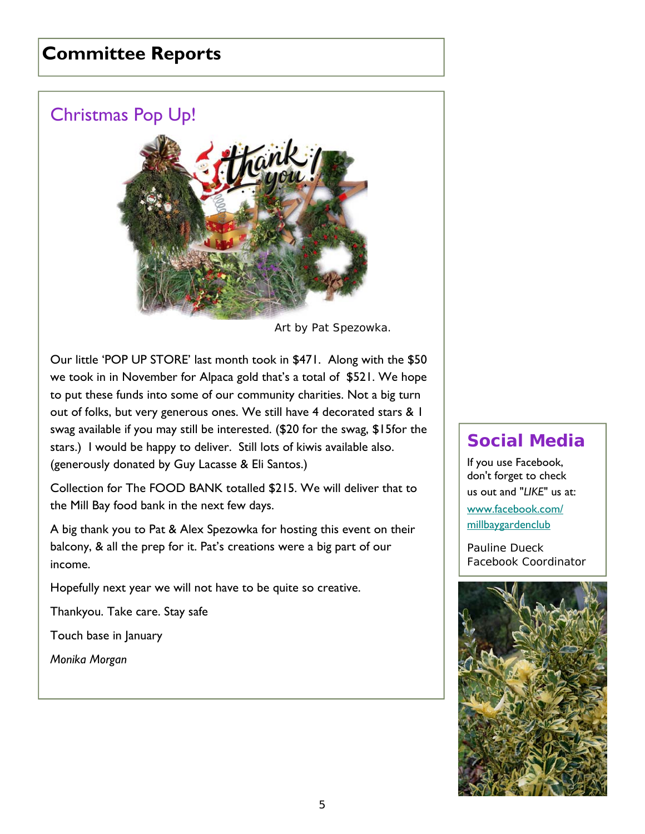## **Committee Reports**

## Christmas Pop Up!



*Art by Pat Spezowka*.

Our little 'POP UP STORE' last month took in \$471. Along with the \$50 we took in in November for Alpaca gold that's a total of \$521. We hope to put these funds into some of our community charities. Not a big turn out of folks, but very generous ones. We still have 4 decorated stars & 1 swag available if you may still be interested. (\$20 for the swag, \$15for the stars.) I would be happy to deliver. Still lots of kiwis available also. (generously donated by Guy Lacasse & Eli Santos.)

Collection for The FOOD BANK totalled \$215. We will deliver that to the Mill Bay food bank in the next few days.

A big thank you to Pat & Alex Spezowka for hosting this event on their balcony, & all the prep for it. Pat's creations were a big part of our income.

Hopefully next year we will not have to be quite so creative.

Thankyou. Take care. Stay safe

Touch base in January

*Monika Morgan* 

#### **Social Media**

If you use Facebook, don't forget to check us out and "*LIKE*" us at:

www.facebook.com/ millbaygardenclub

*Pauline Dueck Facebook Coordinator*

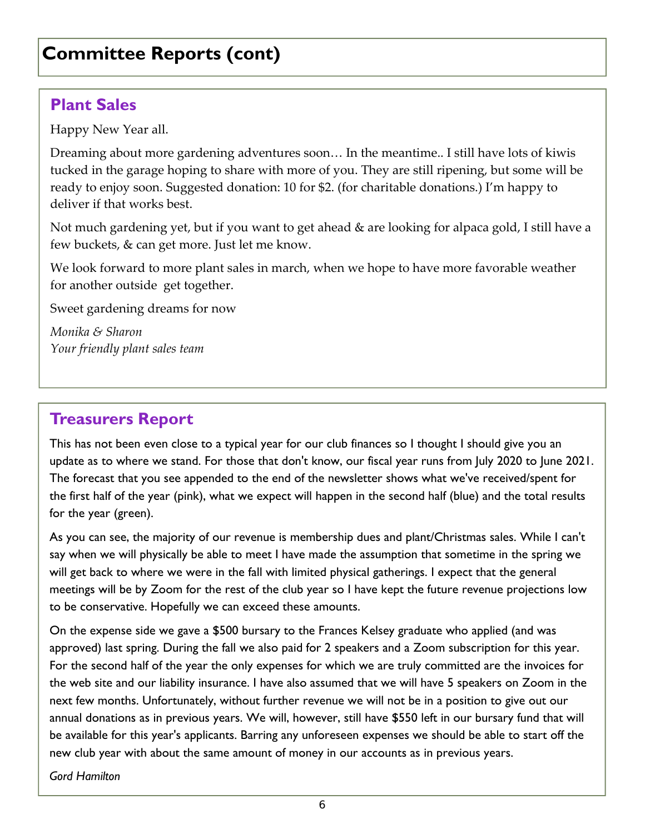## **Committee Reports (cont)**

#### **Plant Sales**

Happy New Year all.

Dreaming about more gardening adventures soon… In the meantime.. I still have lots of kiwis tucked in the garage hoping to share with more of you. They are still ripening, but some will be ready to enjoy soon. Suggested donation: 10 for \$2. (for charitable donations.) I'm happy to deliver if that works best.

Not much gardening yet, but if you want to get ahead & are looking for alpaca gold, I still have a few buckets, & can get more. Just let me know.

We look forward to more plant sales in march, when we hope to have more favorable weather for another outside get together.

Sweet gardening dreams for now

*Monika & Sharon Your friendly plant sales team* 

## **Treasurers Report**

This has not been even close to a typical year for our club finances so I thought I should give you an update as to where we stand. For those that don't know, our fiscal year runs from July 2020 to June 2021. The forecast that you see appended to the end of the newsletter shows what we've received/spent for the first half of the year (pink), what we expect will happen in the second half (blue) and the total results for the year (green).

As you can see, the majority of our revenue is membership dues and plant/Christmas sales. While I can't say when we will physically be able to meet I have made the assumption that sometime in the spring we will get back to where we were in the fall with limited physical gatherings. I expect that the general meetings will be by Zoom for the rest of the club year so I have kept the future revenue projections low to be conservative. Hopefully we can exceed these amounts.

On the expense side we gave a \$500 bursary to the Frances Kelsey graduate who applied (and was approved) last spring. During the fall we also paid for 2 speakers and a Zoom subscription for this year. For the second half of the year the only expenses for which we are truly committed are the invoices for the web site and our liability insurance. I have also assumed that we will have 5 speakers on Zoom in the next few months. Unfortunately, without further revenue we will not be in a position to give out our annual donations as in previous years. We will, however, still have \$550 left in our bursary fund that will be available for this year's applicants. Barring any unforeseen expenses we should be able to start off the new club year with about the same amount of money in our accounts as in previous years.

*Gord Hamilton*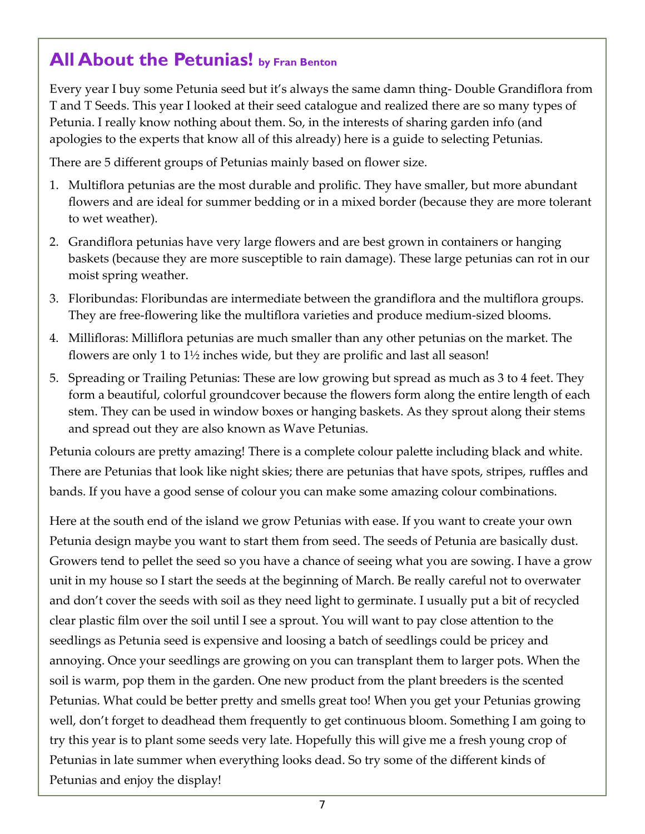## **All About the Petunias! by Fran Benton**

Every year I buy some Petunia seed but it's always the same damn thing‐ Double Grandiflora from T and T Seeds. This year I looked at their seed catalogue and realized there are so many types of Petunia. I really know nothing about them. So, in the interests of sharing garden info (and apologies to the experts that know all of this already) here is a guide to selecting Petunias.

There are 5 different groups of Petunias mainly based on flower size.

- 1. Multiflora petunias are the most durable and prolific. They have smaller, but more abundant flowers and are ideal for summer bedding or in a mixed border (because they are more tolerant to wet weather).
- 2. Grandiflora petunias have very large flowers and are best grown in containers or hanging baskets (because they are more susceptible to rain damage). These large petunias can rot in our moist spring weather.
- 3. Floribundas: Floribundas are intermediate between the grandiflora and the multiflora groups. They are free-flowering like the multiflora varieties and produce medium-sized blooms.
- 4. Millifloras: Milliflora petunias are much smaller than any other petunias on the market. The flowers are only 1 to  $1\frac{1}{2}$  inches wide, but they are prolific and last all season!
- 5. Spreading or Trailing Petunias: These are low growing but spread as much as 3 to 4 feet. They form a beautiful, colorful groundcover because the flowers form along the entire length of each stem. They can be used in window boxes or hanging baskets. As they sprout along their stems and spread out they are also known as Wave Petunias.

Petunia colours are pretty amazing! There is a complete colour palette including black and white. There are Petunias that look like night skies; there are petunias that have spots, stripes, ruffles and bands. If you have a good sense of colour you can make some amazing colour combinations.

Here at the south end of the island we grow Petunias with ease. If you want to create your own Petunia design maybe you want to start them from seed. The seeds of Petunia are basically dust. Growers tend to pellet the seed so you have a chance of seeing what you are sowing. I have a grow unit in my house so I start the seeds at the beginning of March. Be really careful not to overwater and don't cover the seeds with soil as they need light to germinate. I usually put a bit of recycled clear plastic film over the soil until I see a sprout. You will want to pay close attention to the seedlings as Petunia seed is expensive and loosing a batch of seedlings could be pricey and annoying. Once your seedlings are growing on you can transplant them to larger pots. When the soil is warm, pop them in the garden. One new product from the plant breeders is the scented Petunias. What could be better pretty and smells great too! When you get your Petunias growing well, don't forget to deadhead them frequently to get continuous bloom. Something I am going to try this year is to plant some seeds very late. Hopefully this will give me a fresh young crop of Petunias in late summer when everything looks dead. So try some of the different kinds of Petunias and enjoy the display!